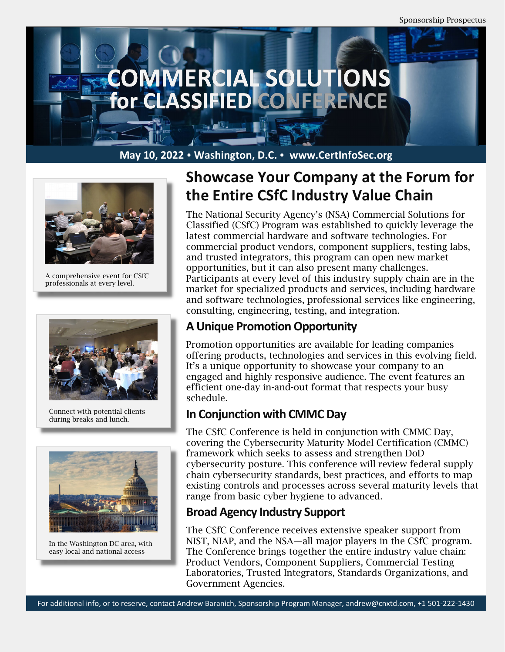



A comprehensive event for CSfC professionals at every level.



Connect with potential clients during breaks and lunch.



In the Washington DC area, with easy local and national access

# **Showcase Your Company at the Forum for the Entire CSfC Industry Value Chain**

The National Security Agency's (NSA) Commercial Solutions for Classified (CSfC) Program was established to quickly leverage the latest commercial hardware and software technologies. For commercial product vendors, component suppliers, testing labs, and trusted integrators, this program can open new market opportunities, but it can also present many challenges. Participants at every level of this industry supply chain are in the market for specialized products and services, including hardware and software technologies, professional services like engineering, consulting, engineering, testing, and integration.

## **A Unique Promotion Opportunity**

Promotion opportunities are available for leading companies offering products, technologies and services in this evolving field. It's a unique opportunity to showcase your company to an engaged and highly responsive audience. The event features an efficient one-day in-and-out format that respects your busy schedule.

### **In Conjunction with CMMC Day**

The CSfC Conference is held in conjunction with CMMC Day, covering the Cybersecurity Maturity Model Certification (CMMC) framework which seeks to assess and strengthen DoD cybersecurity posture. This conference will review federal supply chain cybersecurity standards, best practices, and efforts to map existing controls and processes across several maturity levels that range from basic cyber hygiene to advanced.

## **Broad Agency Industry Support**

The CSfC Conference receives extensive speaker support from NIST, NIAP, and the NSA—all major players in the CSfC program. The Conference brings together the entire industry value chain: Product Vendors, Component Suppliers, Commercial Testing Laboratories, Trusted Integrators, Standards Organizations, and Government Agencies.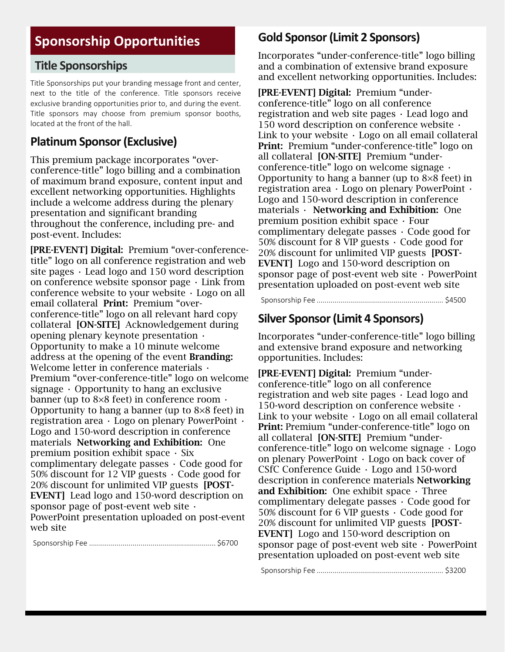## **Sponsorship Opportunities**

#### **Title Sponsorships**

Title Sponsorships put your branding message front and center, next to the title of the conference. Title sponsors receive exclusive branding opportunities prior to, and during the event. Title sponsors may choose from premium sponsor booths, located at the front of the hall.

#### **Platinum Sponsor(Exclusive)**

This premium package incorporates "overconference-title" logo billing and a combination of maximum brand exposure, content input and excellent networking opportunities. Highlights include a welcome address during the plenary presentation and significant branding throughout the conference, including pre- and post-event. Includes:

[PRE-EVENT] Digital: Premium "over-conferencetitle" logo on all conference registration and web site pages  $\cdot$  Lead logo and 150 word description on conference website sponsor page  $\cdot$  Link from conference website to your website  $\cdot$  Logo on all email collateral Print: Premium "overconference-title" logo on all relevant hard copy collateral [ON-SITE] Acknowledgement during opening plenary keynote presentation • Opportunity to make a 10 minute welcome address at the opening of the event **Branding:** Welcome letter in conference materials  $\cdot$ Premium "over-conference-title" logo on welcome signage  $\cdot$  Opportunity to hang an exclusive banner (up to 8×8 feet) in conference room • Opportunity to hang a banner (up to 8×8 feet) in registration area • Logo on plenary PowerPoint • Logo and 150-word description in conference materials Networking and Exhibition: One premium position exhibit space  $\cdot$  Six complimentary delegate passes • Code good for 50% discount for 12 VIP guests  $\cdot$  Code good for 20% discount for unlimited VIP guests [POST-EVENT] Lead logo and 150-word description on sponsor page of post-event web site  $\cdot$ PowerPoint presentation uploaded on post-event web site

Sponsorship Fee ................................................................ \$6700

#### **Gold Sponsor(Limit 2 Sponsors)**

Incorporates "under-conference-title" logo billing and a combination of extensive brand exposure and excellent networking opportunities. Includes:

[PRE-EVENT] Digital: Premium "underconference-title" logo on all conference registration and web site pages • Lead logo and 150 word description on conference website • Link to your website  $\cdot$  Logo on all email collateral Print: Premium "under-conference-title" logo on all collateral [ON-SITE] Premium "underconference-title" logo on welcome signage • Opportunity to hang a banner (up to 8×8 feet) in registration area • Logo on plenary PowerPoint • Logo and 150-word description in conference materials  $\cdot$  Networking and Exhibition: One premium position exhibit space • Four complimentary delegate passes • Code good for 50% discount for 8 VIP guests • Code good for 20% discount for unlimited VIP guests [POST-EVENT] Logo and 150-word description on sponsor page of post-event web site  $\cdot$  PowerPoint presentation uploaded on post-event web site

Sponsorship Fee ................................................................ \$4500

#### **Silver Sponsor(Limit 4 Sponsors)**

Incorporates "under-conference-title" logo billing and extensive brand exposure and networking opportunities. Includes:

[PRE-EVENT] Digital: Premium "underconference-title" logo on all conference registration and web site pages • Lead logo and 150-word description on conference website • Link to your website  $\cdot$  Logo on all email collateral Print: Premium "under-conference-title" logo on all collateral [ON-SITE] Premium "underconference-title" logo on welcome signage • Logo on plenary PowerPoint • Logo on back cover of CSfC Conference Guide • Logo and 150-word description in conference materials Networking and Exhibition: One exhibit space  $\cdot$  Three complimentary delegate passes • Code good for 50% discount for 6 VIP guests • Code good for 20% discount for unlimited VIP guests [POST-EVENT] Logo and 150-word description on sponsor page of post-event web site  $\cdot$  PowerPoint presentation uploaded on post-event web site

Sponsorship Fee ................................................................ \$3200